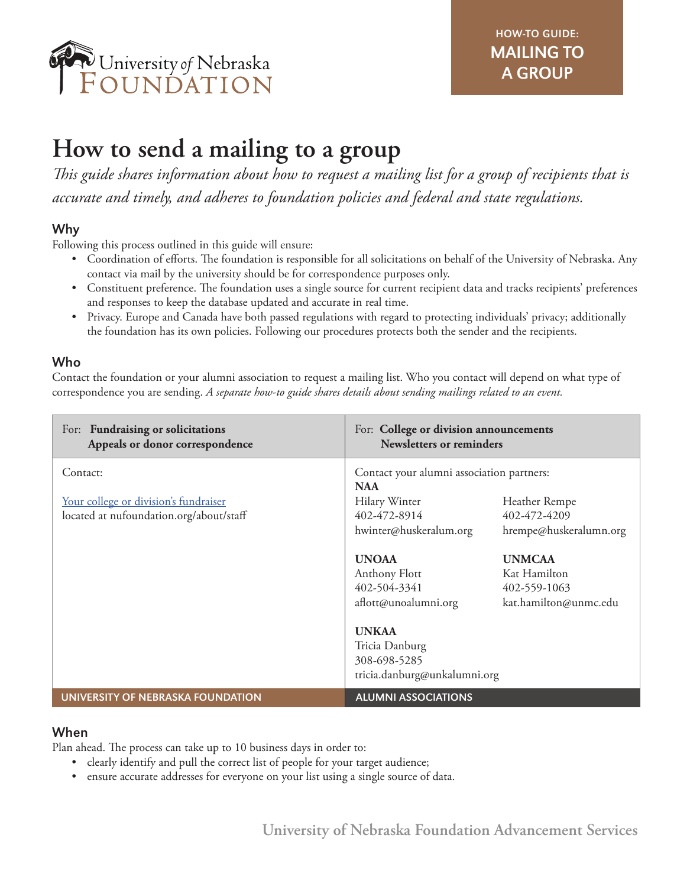

# **How to send a mailing to a group**

*This guide shares information about how to request a mailing list for a group of recipients that is accurate and timely, and adheres to foundation policies and federal and state regulations.* 

# Why

Following this process outlined in this guide will ensure:

- Coordination of efforts. The foundation is responsible for all solicitations on behalf of the University of Nebraska. Any contact via mail by the university should be for correspondence purposes only.
- Constituent preference. The foundation uses a single source for current recipient data and tracks recipients' preferences and responses to keep the database updated and accurate in real time.
- Privacy. Europe and Canada have both passed regulations with regard to protecting individuals' privacy; additionally the foundation has its own policies. Following our procedures protects both the sender and the recipients.

# Who

Contact the foundation or your alumni association to request a mailing list. Who you contact will depend on what type of correspondence you are sending. *A separate how-to guide shares details about sending mailings related to an event.*

| For: Fundraising or solicitations<br>Appeals or donor correspondence                         | For: College or division announcements<br><b>Newsletters or reminders</b>                                                                                                                                      |  |
|----------------------------------------------------------------------------------------------|----------------------------------------------------------------------------------------------------------------------------------------------------------------------------------------------------------------|--|
| Contact:<br>Your college or division's fundraiser<br>located at nufoundation.org/about/staff | Contact your alumni association partners:<br><b>NAA</b><br>Hilary Winter<br>Heather Rempe<br>402-472-8914<br>402-472-4209<br>hrempe@huskeralumn.org<br>hwinter@huskeralum.org<br><b>UNOAA</b><br><b>UNMCAA</b> |  |
|                                                                                              | Kat Hamilton<br>Anthony Flott<br>402-504-3341<br>402-559-1063<br>aflott@unoalumni.org<br>kat.hamilton@unmc.edu<br><b>UNKAA</b><br>Tricia Danburg<br>308-698-5285<br>tricia.danburg@unkalumni.org               |  |
| UNIVERSITY OF NEBRASKA FOUNDATION                                                            | <b>ALUMNI ASSOCIATIONS</b>                                                                                                                                                                                     |  |

#### When

Plan ahead. The process can take up to 10 business days in order to:

- clearly identify and pull the correct list of people for your target audience;
- ensure accurate addresses for everyone on your list using a single source of data.